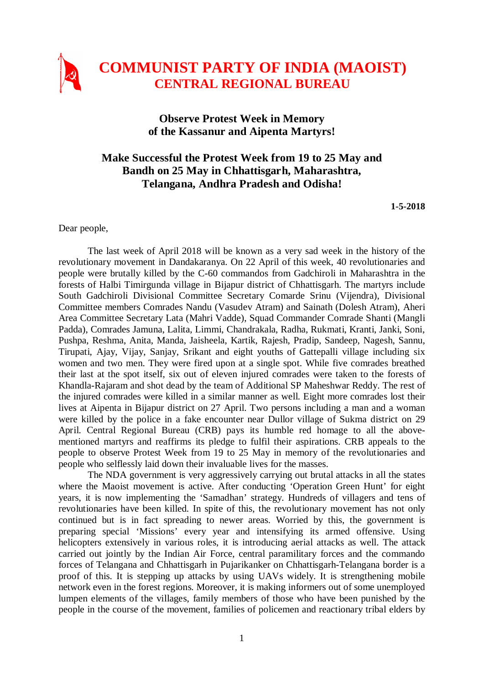

## **Observe Protest Week in Memory of the Kassanur and Aipenta Martyrs!**

## **Make Successful the Protest Week from 19 to 25 May and Bandh on 25 May in Chhattisgarh, Maharashtra, Telangana, Andhra Pradesh and Odisha!**

## **1-5-2018**

Dear people,

The last week of April 2018 will be known as a very sad week in the history of the revolutionary movement in Dandakaranya. On 22 April of this week, 40 revolutionaries and people were brutally killed by the C-60 commandos from Gadchiroli in Maharashtra in the forests of Halbi Timirgunda village in Bijapur district of Chhattisgarh. The martyrs include South Gadchiroli Divisional Committee Secretary Comarde Srinu (Vijendra), Divisional Committee members Comrades Nandu (Vasudev Atram) and Sainath (Dolesh Atram), Aheri Area Committee Secretary Lata (Mahri Vadde), Squad Commander Comrade Shanti (Mangli Padda), Comrades Jamuna, Lalita, Limmi, Chandrakala, Radha, Rukmati, Kranti, Janki, Soni, Pushpa, Reshma, Anita, Manda, Jaisheela, Kartik, Rajesh, Pradip, Sandeep, Nagesh, Sannu, Tirupati, Ajay, Vijay, Sanjay, Srikant and eight youths of Gattepalli village including six women and two men. They were fired upon at a single spot. While five comrades breathed their last at the spot itself, six out of eleven injured comrades were taken to the forests of Khandla-Rajaram and shot dead by the team of Additional SP Maheshwar Reddy. The rest of the injured comrades were killed in a similar manner as well. Eight more comrades lost their lives at Aipenta in Bijapur district on 27 April. Two persons including a man and a woman were killed by the police in a fake encounter near Dullor village of Sukma district on 29 April. Central Regional Bureau (CRB) pays its humble red homage to all the abovementioned martyrs and reaffirms its pledge to fulfil their aspirations. CRB appeals to the people to observe Protest Week from 19 to 25 May in memory of the revolutionaries and people who selflessly laid down their invaluable lives for the masses.

The NDA government is very aggressively carrying out brutal attacks in all the states where the Maoist movement is active. After conducting 'Operation Green Hunt' for eight years, it is now implementing the 'Samadhan' strategy. Hundreds of villagers and tens of revolutionaries have been killed. In spite of this, the revolutionary movement has not only continued but is in fact spreading to newer areas. Worried by this, the government is preparing special 'Missions' every year and intensifying its armed offensive. Using helicopters extensively in various roles, it is introducing aerial attacks as well. The attack carried out jointly by the Indian Air Force, central paramilitary forces and the commando forces of Telangana and Chhattisgarh in Pujarikanker on Chhattisgarh-Telangana border is a proof of this. It is stepping up attacks by using UAVs widely. It is strengthening mobile network even in the forest regions. Moreover, it is making informers out of some unemployed lumpen elements of the villages, family members of those who have been punished by the people in the course of the movement, families of policemen and reactionary tribal elders by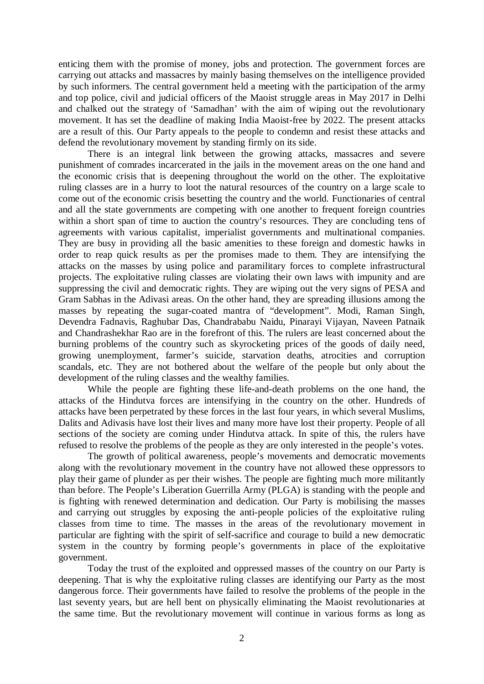enticing them with the promise of money, jobs and protection. The government forces are carrying out attacks and massacres by mainly basing themselves on the intelligence provided by such informers. The central government held a meeting with the participation of the army and top police, civil and judicial officers of the Maoist struggle areas in May 2017 in Delhi and chalked out the strategy of 'Samadhan' with the aim of wiping out the revolutionary movement. It has set the deadline of making India Maoist-free by 2022. The present attacks are a result of this. Our Party appeals to the people to condemn and resist these attacks and defend the revolutionary movement by standing firmly on its side.

There is an integral link between the growing attacks, massacres and severe punishment of comrades incarcerated in the jails in the movement areas on the one hand and the economic crisis that is deepening throughout the world on the other. The exploitative ruling classes are in a hurry to loot the natural resources of the country on a large scale to come out of the economic crisis besetting the country and the world. Functionaries of central and all the state governments are competing with one another to frequent foreign countries within a short span of time to auction the country's resources. They are concluding tens of agreements with various capitalist, imperialist governments and multinational companies. They are busy in providing all the basic amenities to these foreign and domestic hawks in order to reap quick results as per the promises made to them. They are intensifying the attacks on the masses by using police and paramilitary forces to complete infrastructural projects. The exploitative ruling classes are violating their own laws with impunity and are suppressing the civil and democratic rights. They are wiping out the very signs of PESA and Gram Sabhas in the Adivasi areas. On the other hand, they are spreading illusions among the masses by repeating the sugar-coated mantra of "development". Modi, Raman Singh, Devendra Fadnavis, Raghubar Das, Chandrababu Naidu, Pinarayi Vijayan, Naveen Patnaik and Chandrashekhar Rao are in the forefront of this. The rulers are least concerned about the burning problems of the country such as skyrocketing prices of the goods of daily need, growing unemployment, farmer's suicide, starvation deaths, atrocities and corruption scandals, etc. They are not bothered about the welfare of the people but only about the development of the ruling classes and the wealthy families.

While the people are fighting these life-and-death problems on the one hand, the attacks of the Hindutva forces are intensifying in the country on the other. Hundreds of attacks have been perpetrated by these forces in the last four years, in which several Muslims, Dalits and Adivasis have lost their lives and many more have lost their property. People of all sections of the society are coming under Hindutva attack. In spite of this, the rulers have refused to resolve the problems of the people as they are only interested in the people's votes.

The growth of political awareness, people's movements and democratic movements along with the revolutionary movement in the country have not allowed these oppressors to play their game of plunder as per their wishes. The people are fighting much more militantly than before. The People's Liberation Guerrilla Army (PLGA) is standing with the people and is fighting with renewed determination and dedication. Our Party is mobilising the masses and carrying out struggles by exposing the anti-people policies of the exploitative ruling classes from time to time. The masses in the areas of the revolutionary movement in particular are fighting with the spirit of self-sacrifice and courage to build a new democratic system in the country by forming people's governments in place of the exploitative government.

Today the trust of the exploited and oppressed masses of the country on our Party is deepening. That is why the exploitative ruling classes are identifying our Party as the most dangerous force. Their governments have failed to resolve the problems of the people in the last seventy years, but are hell bent on physically eliminating the Maoist revolutionaries at the same time. But the revolutionary movement will continue in various forms as long as